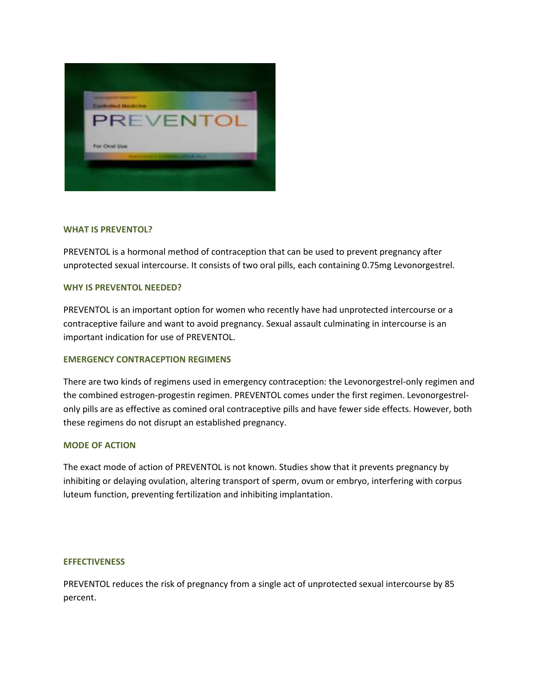

## **WHAT IS PREVENTOL?**

PREVENTOL is a hormonal method of contraception that can be used to prevent pregnancy after unprotected sexual intercourse. It consists of two oral pills, each containing 0.75mg Levonorgestrel.

## **WHY IS PREVENTOL NEEDED?**

PREVENTOL is an important option for women who recently have had unprotected intercourse or a contraceptive failure and want to avoid pregnancy. Sexual assault culminating in intercourse is an important indication for use of PREVENTOL.

# **EMERGENCY CONTRACEPTION REGIMENS**

There are two kinds of regimens used in emergency contraception: the Levonorgestrel-only regimen and the combined estrogen-progestin regimen. PREVENTOL comes under the first regimen. Levonorgestrelonly pills are as effective as comined oral contraceptive pills and have fewer side effects. However, both these regimens do not disrupt an established pregnancy.

#### **MODE OF ACTION**

The exact mode of action of PREVENTOL is not known. Studies show that it prevents pregnancy by inhibiting or delaying ovulation, altering transport of sperm, ovum or embryo, interfering with corpus luteum function, preventing fertilization and inhibiting implantation.

#### **EFFECTIVENESS**

PREVENTOL reduces the risk of pregnancy from a single act of unprotected sexual intercourse by 85 percent.